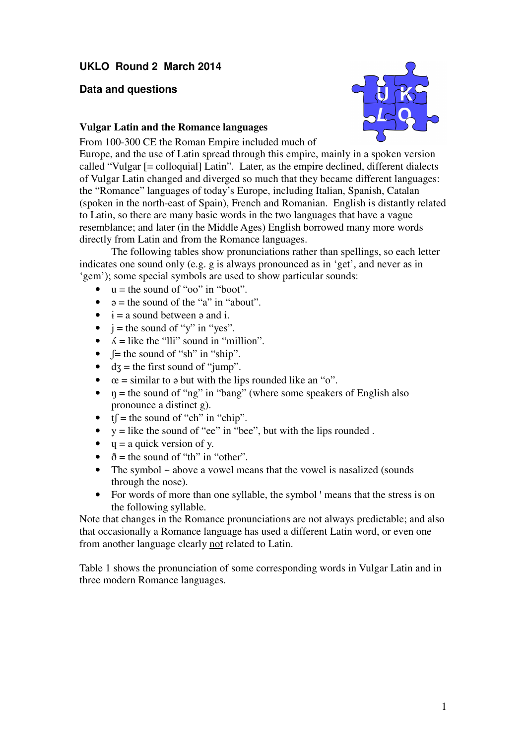## **UKLO Round 2 March 2014**

**Data and questions** 



### **Vulgar Latin and the Romance languages**

From 100-300 CE the Roman Empire included much of

Europe, and the use of Latin spread through this empire, mainly in a spoken version called "Vulgar [= colloquial] Latin". Later, as the empire declined, different dialects of Vulgar Latin changed and diverged so much that they became different languages: the "Romance" languages of today's Europe, including Italian, Spanish, Catalan (spoken in the north-east of Spain), French and Romanian. English is distantly related to Latin, so there are many basic words in the two languages that have a vague resemblance; and later (in the Middle Ages) English borrowed many more words directly from Latin and from the Romance languages.

 The following tables show pronunciations rather than spellings, so each letter indicates one sound only (e.g. g is always pronounced as in 'get', and never as in 'gem'); some special symbols are used to show particular sounds:

- $\bullet$  u = the sound of "oo" in "boot".
- $\theta = \theta$  = the sound of the "a" in "about".
- $\bullet$   $i = a$  sound between  $\circ$  and i.
- $i =$  the sound of "y" in "yes".
- $\Lambda$  = like the "lli" sound in "million".
- $\int$ = the sound of "sh" in "ship".
- $d\overline{z}$  = the first sound of "jump".
- $\alpha$  = similar to  $\alpha$  but with the lips rounded like an "o".
- $\eta$  = the sound of "ng" in "bang" (where some speakers of English also pronounce a distinct g).
- $tf$  = the sound of "ch" in "chip".
- $y =$  like the sound of "ee" in "bee", but with the lips rounded.
- $y = a$  quick version of y.
- $\delta$  = the sound of "th" in "other".
- The symbol ~ above a vowel means that the vowel is nasalized (sounds) through the nose).
- For words of more than one syllable, the symbol ' means that the stress is on the following syllable.

Note that changes in the Romance pronunciations are not always predictable; and also that occasionally a Romance language has used a different Latin word, or even one from another language clearly not related to Latin.

Table 1 shows the pronunciation of some corresponding words in Vulgar Latin and in three modern Romance languages.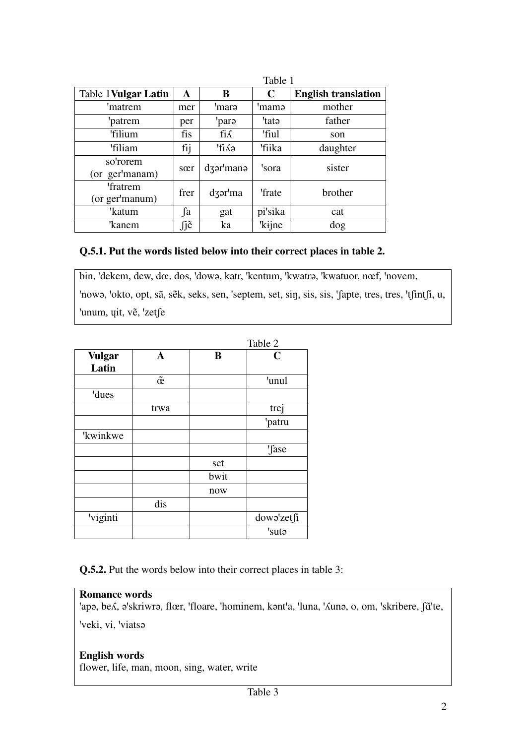|                             | Table 1 |             |         |                            |
|-----------------------------|---------|-------------|---------|----------------------------|
| <b>Table 1 Vulgar Latin</b> | A       | B           | C       | <b>English translation</b> |
| 'matrem                     | mer     | 'marə       | 'mamə   | mother                     |
| 'patrem                     | per     | 'parə       | 'tatə   | father                     |
| 'filium                     | fis     | $fi\Lambda$ | 'fiul   | son                        |
| 'filiam                     | fij     | 'fi a       | 'fiika  | daughter                   |
| so'rorem                    | sœr     | dzər'manə   | 'sora   | sister                     |
| (or ger'manam)              |         |             |         |                            |
| 'fratrem<br>(or ger'manum)  | frer    | dzər'ma     | 'frate  | brother                    |
| 'katum                      | ſа      | gat         | pi'sika | cat                        |
| 'kanem                      | ſjẽ     | ka          | 'kijne  | dog                        |

### **Q.5.1. Put the words listed below into their correct places in table 2.**

bin, 'dekem, dew, dœ, dos, 'dowə, katr, 'kentum, 'kwatrə, 'kwatuor, nœf, 'novem, 'nowə, 'okto, opt, sã, sẽk, seks, sen, 'septem, set, siŋ, sis, sis, 'fapte, tres, tres, 'tfintfi, u, 'unum, yit, vẽ, 'zetfe

|               |                  | Table 2 |             |  |
|---------------|------------------|---------|-------------|--|
| <b>Vulgar</b> | $\mathbf A$      | B       | $\mathbf C$ |  |
| Latin         |                  |         |             |  |
|               | $\tilde{\alpha}$ |         | 'unul       |  |
| 'dues         |                  |         |             |  |
|               | trwa             |         | trej        |  |
|               |                  |         | 'patru      |  |
| 'kwinkwe      |                  |         |             |  |
|               |                  |         | 'fase       |  |
|               |                  | set     |             |  |
|               |                  | bwit    |             |  |
|               |                  | now     |             |  |
|               | dis              |         |             |  |
| 'viginti      |                  |         | dowo'zetfi  |  |
|               |                  |         | 'suta       |  |

**Q.5.2.** Put the words below into their correct places in table 3:

#### **Romance words**

'apə, bes, ə'skriwrə, flœr, 'floare, 'hominem, kənt'a, 'luna, 'sunə, o, om, 'skribere, fã'te, veki, vi, 'viatsa

#### **English words**

flower, life, man, moon, sing, water, write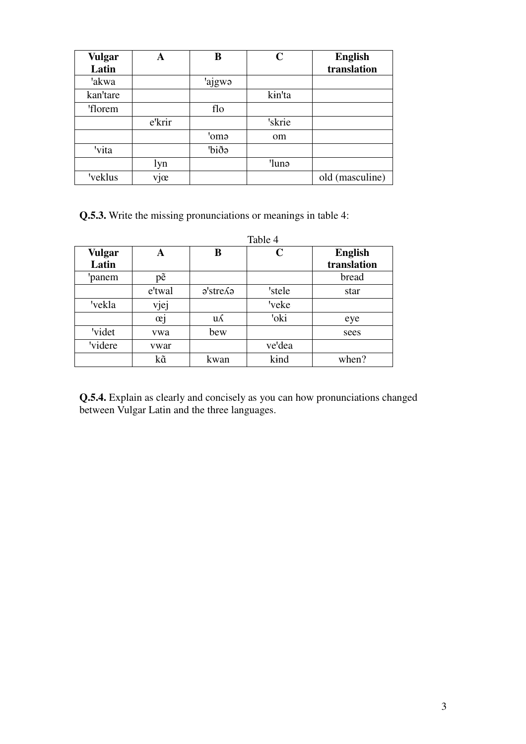| <b>Vulgar</b> | A      | B      | $\mathbf C$ | <b>English</b>  |
|---------------|--------|--------|-------------|-----------------|
| Latin         |        |        |             | translation     |
| 'akwa         |        | 'ajgwa |             |                 |
| kan'tare      |        |        | kin'ta      |                 |
| 'florem       |        | flo    |             |                 |
|               | e'krir |        | 'skrie      |                 |
|               |        | 'omə   | om          |                 |
| 'vita         |        | biðə   |             |                 |
|               | lyn    |        | 'lunə       |                 |
| 'veklus       | vjœ    |        |             | old (masculine) |

**Q.5.3.** Write the missing pronunciations or meanings in table 4:

|                        | Table 4 |                          |             |                               |  |
|------------------------|---------|--------------------------|-------------|-------------------------------|--|
| <b>Vulgar</b><br>Latin | A       | B                        | $\mathbf C$ | <b>English</b><br>translation |  |
| 'panem                 | pẽ      |                          |             | bread                         |  |
|                        | e'twal  | $\sigma$ 'stre $\Lambda$ | 'stele      | star                          |  |
| 'vekla                 | vjej    |                          | 'veke       |                               |  |
|                        | œj      | $u\Lambda$               | 'oki        | eye                           |  |
| 'videt                 | vwa     | bew                      |             | sees                          |  |
| 'videre                | ywar    |                          | ve'dea      |                               |  |
|                        | kã      | kwan                     | kind        | when?                         |  |

**Q.5.4.** Explain as clearly and concisely as you can how pronunciations changed between Vulgar Latin and the three languages.